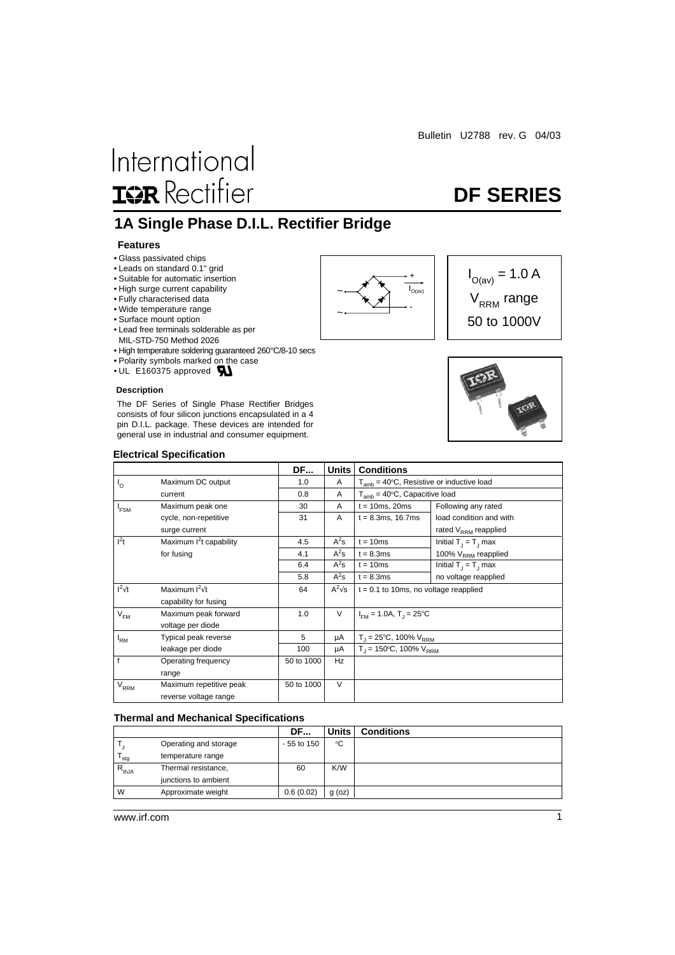# International **ISR** Rectifier

## **DF SERIES**

 $I_{O(av)} = 1.0 A$ 

 $V_{RRM}$  range 50 to 1000V

### **1A Single Phase D.I.L. Rectifier Bridge**

### **Features**

- Glass passivated chips
- Leads on standard 0.1" grid
- Suitable for automatic insertion
- High surge current capability
- Fully characterised data
- Wide temperature range
- Surface mount option
- Lead free terminals solderable as per MIL-STD-750 Method 2026
- High temperature soldering guaranteed 260°C/8-10 secs
- Polarity symbols marked on the case
- UL E160375 approved **AL**

#### **Description**

The DF Series of Single Phase Rectifier Bridges consists of four silicon junctions encapsulated in a 4 pin D.I.L. package. These devices are intended for general use in industrial and consumer equipment.





#### **Electrical Specification**

|                   |                          | <b>DF</b>  | <b>Units</b>  | <b>Conditions</b>                              |                           |
|-------------------|--------------------------|------------|---------------|------------------------------------------------|---------------------------|
| $I_{\circ}$       | Maximum DC output        | 1.0        | A             | $T_{amb}$ = 40°C, Resistive or inductive load  |                           |
|                   | current                  | 0.8        | A             | $T_{amb}$ = 40 $\degree$ C, Capacitive load    |                           |
| $I_{\text{FSM}}$  | Maximum peak one         | 30         | A             | $t = 10ms$ , 20ms                              | Following any rated       |
|                   | cycle, non-repetitive    | 31         | A             | $t = 8.3ms, 16.7ms$                            | load condition and with   |
|                   | surge current            |            |               |                                                | rated $V_{RRM}$ reapplied |
| $I^2t$            | Maximum $I2t$ capability | 4.5        | $A^2$ s       | $t = 10ms$                                     | Initial $T_1 = T_1$ max   |
|                   | for fusing               | 4.1        | $A^2$ s       | $t = 8.3ms$                                    | 100% $V_{RRM}$ reapplied  |
|                   |                          | 6.4        | $A^2$ s       | $t = 10ms$                                     | Initial $T_1 = T_1$ max   |
|                   |                          | 5.8        | $A^2s$        | $t = 8.3ms$                                    | no voltage reapplied      |
| $I^2\sqrt{t}$     | Maximum $I^2\sqrt{t}$    | 64         | $A^2\sqrt{s}$ | $t = 0.1$ to 10ms, no voltage reapplied        |                           |
|                   | capability for fusing    |            |               |                                                |                           |
| $V_{FM}$          | Maximum peak forward     | 1.0        | V             | $I_{\text{EM}}$ = 1.0A, T <sub>1</sub> = 25 °C |                           |
|                   | voltage per diode        |            |               |                                                |                           |
| $I_{\mathsf{RM}}$ | Typical peak reverse     | 5          | μA            | $T_{\text{I}}$ = 25°C, 100% $V_{\text{RRM}}$   |                           |
|                   | leakage per diode        | 100        | μA            | $T_1 = 150^{\circ}C$ , 100% $V_{RBM}$          |                           |
| f                 | Operating frequency      | 50 to 1000 | Hz            |                                                |                           |
|                   | range                    |            |               |                                                |                           |
| V <sub>RRM</sub>  | Maximum repetitive peak  | 50 to 1000 | $\vee$        |                                                |                           |
|                   | reverse voltage range    |            |               |                                                |                           |

#### **Thermal and Mechanical Specifications**

|            |                       | DF           | <b>Units</b> | <b>Conditions</b> |
|------------|-----------------------|--------------|--------------|-------------------|
|            | Operating and storage | $-55$ to 150 | °C           |                   |
| stg        | temperature range     |              |              |                   |
| $R_{thJA}$ | Thermal resistance,   | 60           | K/W          |                   |
|            | junctions to ambient  |              |              |                   |
| W          | Approximate weight    | 0.6(0.02)    | $g$ (oz)     |                   |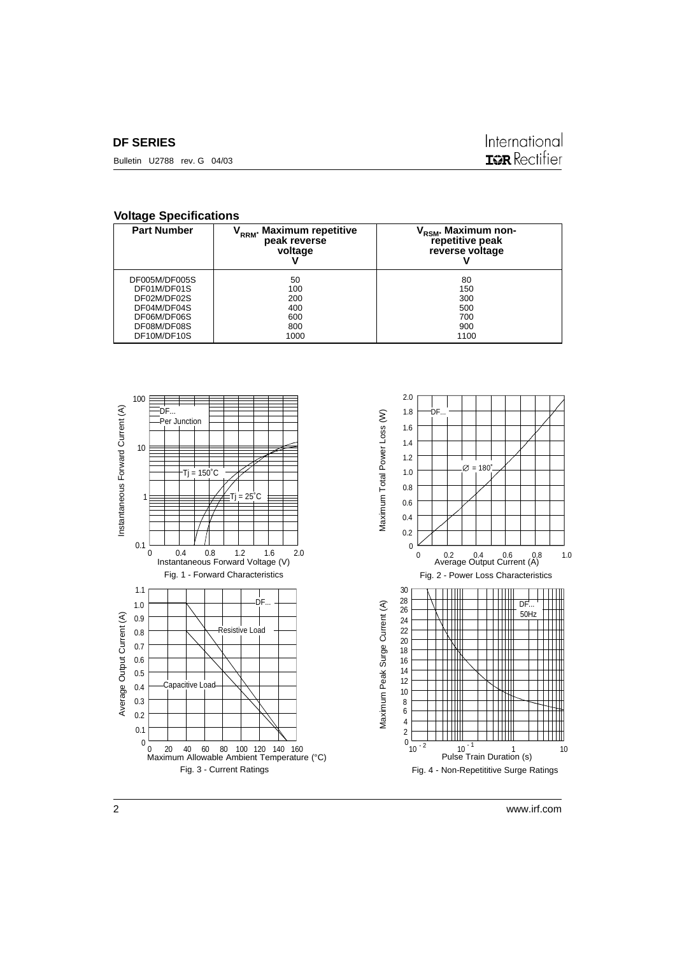### **DF SERIES**

Bulletin U2788 rev. G 04/03

### International **IGR** Rectifier

### **Voltage Specifications**

| <b>Part Number</b> | <b>Maximum repetitive</b><br>RRM <sup>*</sup><br>peak reverse<br>voltage | V <sub>RSM</sub> . Maximum non-<br>repetitive peak<br>reverse voltage |
|--------------------|--------------------------------------------------------------------------|-----------------------------------------------------------------------|
| DF005M/DF005S      | 50                                                                       | 80                                                                    |
| DF01M/DF01S        | 100                                                                      | 150                                                                   |
| DF02M/DF02S        | 200                                                                      | 300                                                                   |
| DF04M/DF04S        | 400                                                                      | 500                                                                   |
| DF06M/DF06S        | 600                                                                      | 700                                                                   |
| DF08M/DF08S        | 800                                                                      | 900                                                                   |
| DF10M/DF10S        | 1000                                                                     | 1100                                                                  |

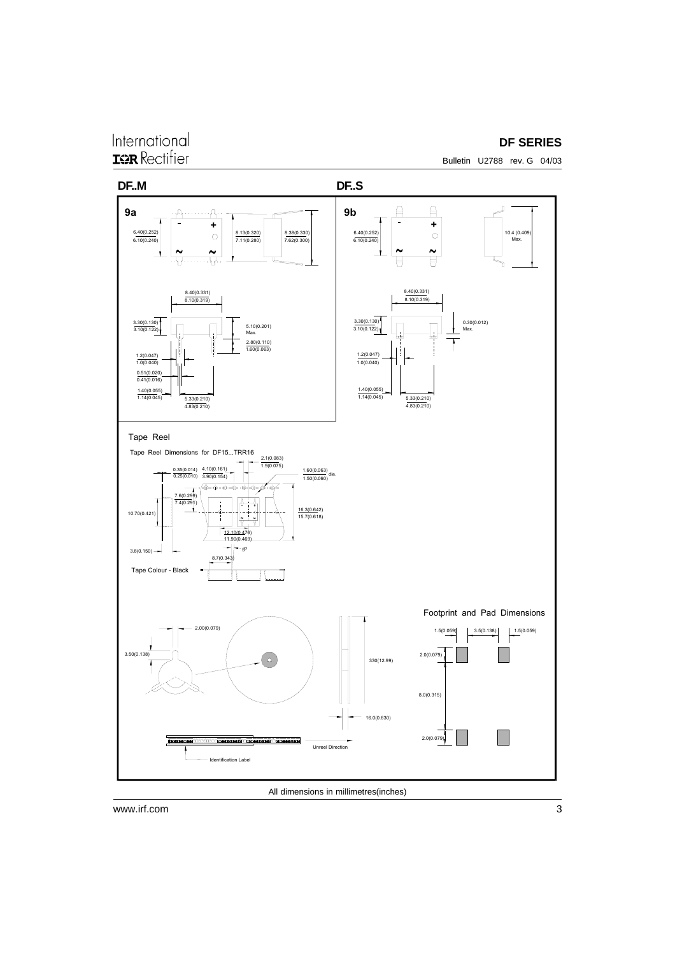### International **ISR** Rectifier

### **DF SERIES**

Bulletin U2788 rev. G 04/03